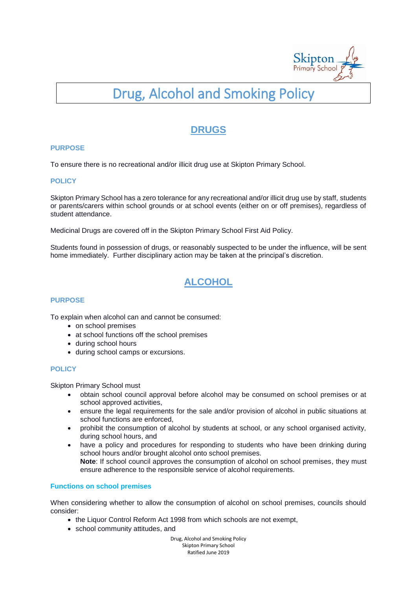

# Drug, Alcohol and Smoking Policy

### **DRUGS**

#### **PURPOSE**

To ensure there is no recreational and/or illicit drug use at Skipton Primary School.

#### **POLICY**

Skipton Primary School has a zero tolerance for any recreational and/or illicit drug use by staff, students or parents/carers within school grounds or at school events (either on or off premises), regardless of student attendance.

Medicinal Drugs are covered off in the Skipton Primary School First Aid Policy.

Students found in possession of drugs, or reasonably suspected to be under the influence, will be sent home immediately. Further disciplinary action may be taken at the principal's discretion.

## **ALCOHOL**

#### **PURPOSE**

To explain when alcohol can and cannot be consumed:

- on school premises
- at school functions off the school premises
- during school hours
- during school camps or excursions.

#### **POLICY**

Skipton Primary School must

- obtain school council approval before alcohol may be consumed on school premises or at school approved activities,
- ensure the legal requirements for the sale and/or provision of alcohol in public situations at school functions are enforced,
- prohibit the consumption of alcohol by students at school, or any school organised activity, during school hours, and
- have a policy and procedures for responding to students who have been drinking during school hours and/or brought alcohol onto school premises. **Note**: If school council approves the consumption of alcohol on school premises, they must ensure adherence to the responsible service of alcohol requirements.

#### **Functions on school premises**

When considering whether to allow the consumption of alcohol on school premises, councils should consider:

- the Liquor Control Reform Act 1998 from which schools are not exempt,
- school community attitudes, and

Drug, Alcohol and Smoking Policy Skipton Primary School Ratified June 2019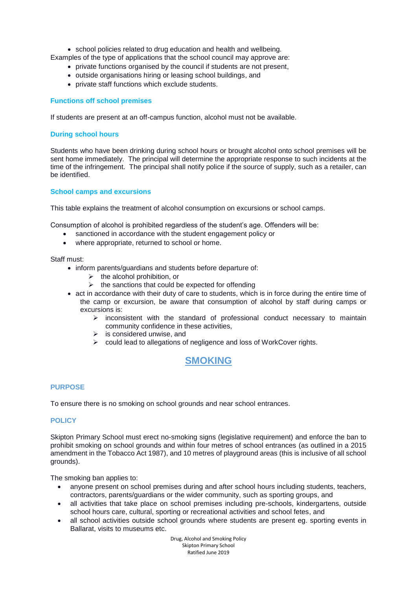school policies related to drug education and health and wellbeing.

- Examples of the type of applications that the school council may approve are:
	- private functions organised by the council if students are not present,
	- outside organisations hiring or leasing school buildings, and
	- private staff functions which exclude students.

#### **Functions off school premises**

If students are present at an off-campus function, alcohol must not be available.

#### **During school hours**

Students who have been drinking during school hours or brought alcohol onto school premises will be sent home immediately. The principal will determine the appropriate response to such incidents at the time of the infringement. The principal shall notify police if the source of supply, such as a retailer, can be identified.

#### **School camps and excursions**

This table explains the treatment of alcohol consumption on excursions or school camps.

Consumption of alcohol is prohibited regardless of the student's age. Offenders will be:

- sanctioned in accordance with the student engagement policy or
- where appropriate, returned to school or home.

Staff must:

- inform parents/guardians and students before departure of:
	- $\triangleright$  the alcohol prohibition, or
	- $\triangleright$  the sanctions that could be expected for offending
- act in accordance with their duty of care to students, which is in force during the entire time of the camp or excursion, be aware that consumption of alcohol by staff during camps or excursions is:
	- $\triangleright$  inconsistent with the standard of professional conduct necessary to maintain community confidence in these activities,
	- $\triangleright$  is considered unwise, and
	- $\triangleright$  could lead to allegations of negligence and loss of WorkCover rights.

### **SMOKING**

#### **PURPOSE**

To ensure there is no smoking on school grounds and near school entrances.

#### **POLICY**

Skipton Primary School must erect no-smoking signs (legislative requirement) and enforce the ban to prohibit smoking on school grounds and within four metres of school entrances (as outlined in a 2015 amendment in the Tobacco Act 1987), and 10 metres of playground areas (this is inclusive of all school grounds).

The smoking ban applies to:

- anyone present on school premises during and after school hours including students, teachers, contractors, parents/guardians or the wider community, such as sporting groups, and
- all activities that take place on school premises including pre-schools, kindergartens, outside school hours care, cultural, sporting or recreational activities and school fetes, and
- all school activities outside school grounds where students are present eg. sporting events in Ballarat, visits to museums etc.

Drug, Alcohol and Smoking Policy Skipton Primary School Ratified June 2019